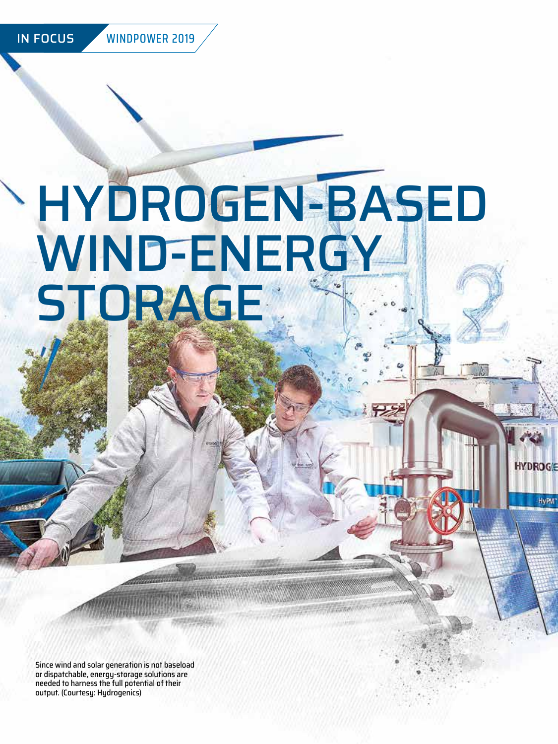IN FOCUS WINDPOWER 2019

# HYDROGEN-BASED WIND-ENERGY **STORAGE**

**HYDROGE** 

**HvPM** 

Since wind and solar generation is not baseload or dispatchable, energy-storage solutions are needed to harness the full potential of their output. (Courtesy: Hydrogenics)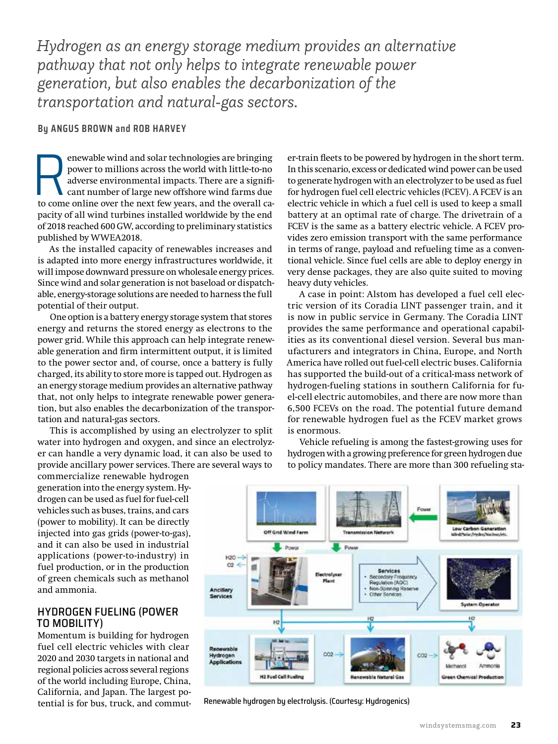*Hydrogen as an energy storage medium provides an alternative pathway that not only helps to integrate renewable power generation, but also enables the decarbonization of the transportation and natural-gas sectors.*

### **By ANGUS BROWN and ROB HARVEY**

enewable wind and solar technologies are bringing<br>power to millions across the world with little-to-no<br>adverse environmental impacts. There are a signifi-<br>cant number of large new offshore wind farms due<br>to come online ove power to millions across the world with little-to-no adverse environmental impacts. There are a significant number of large new offshore wind farms due pacity of all wind turbines installed worldwide by the end of 2018 reached 600 GW, according to preliminary statistics published by WWEA2018.

As the installed capacity of renewables increases and is adapted into more energy infrastructures worldwide, it will impose downward pressure on wholesale energy prices. Since wind and solar generation is not baseload or dispatchable, energy-storage solutions are needed to harness the full potential of their output.

One option is a battery energy storage system that stores energy and returns the stored energy as electrons to the power grid. While this approach can help integrate renewable generation and firm intermittent output, it is limited to the power sector and, of course, once a battery is fully charged, its ability to store more is tapped out. Hydrogen as an energy storage medium provides an alternative pathway that, not only helps to integrate renewable power generation, but also enables the decarbonization of the transportation and natural-gas sectors.

This is accomplished by using an electrolyzer to split water into hydrogen and oxygen, and since an electrolyzer can handle a very dynamic load, it can also be used to provide ancillary power services. There are several ways to

commercialize renewable hydrogen generation into the energy system. Hydrogen can be used as fuel for fuel-cell vehicles such as buses, trains, and cars (power to mobility). It can be directly injected into gas grids (power-to-gas), and it can also be used in industrial applications (power-to-industry) in fuel production, or in the production of green chemicals such as methanol and ammonia.

### HYDROGEN FUELING (POWER TO MOBILITY)

Momentum is building for hydrogen fuel cell electric vehicles with clear 2020 and 2030 targets in national and regional policies across several regions of the world including Europe, China, California, and Japan. The largest potential is for bus, truck, and commuter-train fleets to be powered by hydrogen in the short term. In this scenario, excess or dedicated wind power can be used to generate hydrogen with an electrolyzer to be used as fuel for hydrogen fuel cell electric vehicles (FCEV). A FCEV is an electric vehicle in which a fuel cell is used to keep a small battery at an optimal rate of charge. The drivetrain of a FCEV is the same as a battery electric vehicle. A FCEV provides zero emission transport with the same performance in terms of range, payload and refueling time as a conventional vehicle. Since fuel cells are able to deploy energy in very dense packages, they are also quite suited to moving heavy duty vehicles.

A case in point: Alstom has developed a fuel cell electric version of its Coradia LINT passenger train, and it is now in public service in Germany. The Coradia LINT provides the same performance and operational capabilities as its conventional diesel version. Several bus manufacturers and integrators in China, Europe, and North America have rolled out fuel-cell electric buses. California has supported the build-out of a critical-mass network of hydrogen-fueling stations in southern California for fuel-cell electric automobiles, and there are now more than 6,500 FCEVs on the road. The potential future demand for renewable hydrogen fuel as the FCEV market grows is enormous.

Vehicle refueling is among the fastest-growing uses for hydrogen with a growing preference for green hydrogen due to policy mandates. There are more than 300 refueling sta-



Renewable hydrogen by electrolysis. (Courtesy: Hydrogenics)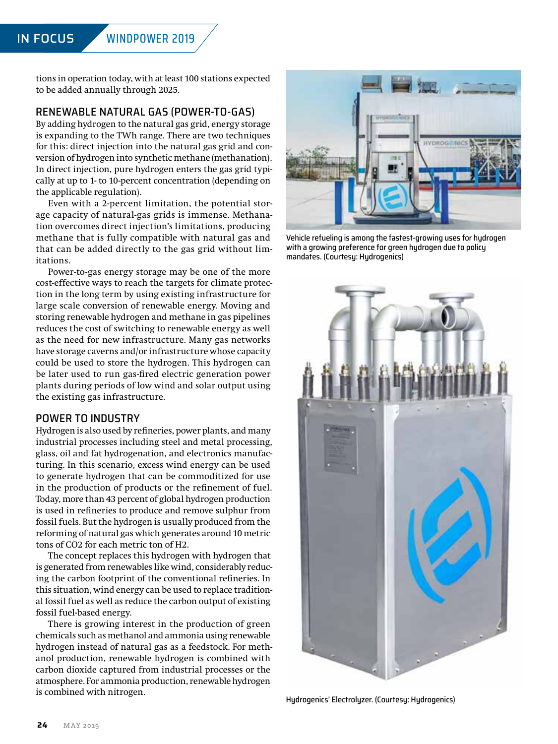tions in operation today, with at least 100 stations expected to be added annually through 2025.

# RENEWABLE NATURAL GAS (POWER-TO-GAS)

By adding hydrogen to the natural gas grid, energy storage is expanding to the TWh range. There are two techniques for this: direct injection into the natural gas grid and conversion of hydrogen into synthetic methane (methanation). In direct injection, pure hydrogen enters the gas grid typically at up to 1- to 10-percent concentration (depending on the applicable regulation).

Even with a 2-percent limitation, the potential storage capacity of natural-gas grids is immense. Methanation overcomes direct injection's limitations, producing methane that is fully compatible with natural gas and that can be added directly to the gas grid without limitations.

Power-to-gas energy storage may be one of the more cost-effective ways to reach the targets for climate protection in the long term by using existing infrastructure for large scale conversion of renewable energy. Moving and storing renewable hydrogen and methane in gas pipelines reduces the cost of switching to renewable energy as well as the need for new infrastructure. Many gas networks have storage caverns and/or infrastructure whose capacity could be used to store the hydrogen. This hydrogen can be later used to run gas-fired electric generation power plants during periods of low wind and solar output using the existing gas infrastructure.

### POWER TO INDUSTRY

Hydrogen is also used by refineries, power plants, and many industrial processes including steel and metal processing, glass, oil and fat hydrogenation, and electronics manufacturing. In this scenario, excess wind energy can be used to generate hydrogen that can be commoditized for use in the production of products or the refinement of fuel. Today, more than 43 percent of global hydrogen production is used in refineries to produce and remove sulphur from fossil fuels. But the hydrogen is usually produced from the reforming of natural gas which generates around 10 metric tons of CO2 for each metric ton of H2.

The concept replaces this hydrogen with hydrogen that is generated from renewables like wind, considerably reducing the carbon footprint of the conventional refineries. In this situation, wind energy can be used to replace traditional fossil fuel as well as reduce the carbon output of existing fossil fuel-based energy.

There is growing interest in the production of green chemicals such as methanol and ammonia using renewable hydrogen instead of natural gas as a feedstock. For methanol production, renewable hydrogen is combined with carbon dioxide captured from industrial processes or the atmosphere. For ammonia production, renewable hydrogen is combined with nitrogen.<br>Hydrogenics' Electrolyzer. (Courtesy: Hydrogenics)



Vehicle refueling is among the fastest-growing uses for hydrogen with a growing preference for green hydrogen due to policy mandates. (Courtesy: Hydrogenics)

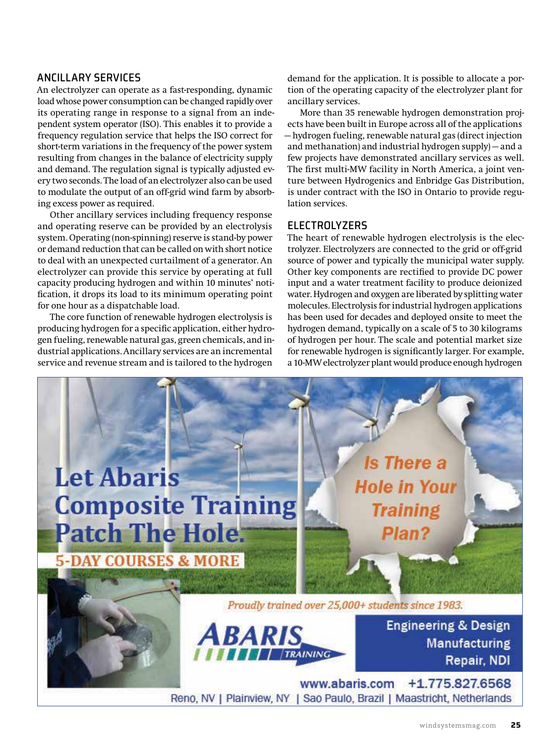### ANCILLARY SERVICES

An electrolyzer can operate as a fast-responding, dynamic load whose power consumption can be changed rapidly over its operating range in response to a signal from an independent system operator (ISO). This enables it to provide a frequency regulation service that helps the ISO correct for short-term variations in the frequency of the power system resulting from changes in the balance of electricity supply and demand. The regulation signal is typically adjusted every two seconds. The load of an electrolyzer also can be used to modulate the output of an off-grid wind farm by absorbing excess power as required.

Other ancillary services including frequency response and operating reserve can be provided by an electrolysis system. Operating (non-spinning) reserve is stand-by power or demand reduction that can be called on with short notice to deal with an unexpected curtailment of a generator. An electrolyzer can provide this service by operating at full capacity producing hydrogen and within 10 minutes' notification, it drops its load to its minimum operating point for one hour as a dispatchable load.

The core function of renewable hydrogen electrolysis is producing hydrogen for a specific application, either hydrogen fueling, renewable natural gas, green chemicals, and industrial applications. Ancillary services are an incremental service and revenue stream and is tailored to the hydrogen

demand for the application. It is possible to allocate a portion of the operating capacity of the electrolyzer plant for ancillary services.

More than 35 renewable hydrogen demonstration projects have been built in Europe across all of the applications — hydrogen fueling, renewable natural gas (direct injection and methanation) and industrial hydrogen supply) — and a few projects have demonstrated ancillary services as well. The first multi-MW facility in North America, a joint venture between Hydrogenics and Enbridge Gas Distribution, is under contract with the ISO in Ontario to provide regulation services.

## **ELECTROLYZERS**

The heart of renewable hydrogen electrolysis is the electrolyzer. Electrolyzers are connected to the grid or off-grid source of power and typically the municipal water supply. Other key components are rectified to provide DC power input and a water treatment facility to produce deionized water. Hydrogen and oxygen are liberated by splitting water molecules. Electrolysis for industrial hydrogen applications has been used for decades and deployed onsite to meet the hydrogen demand, typically on a scale of 5 to 30 kilograms of hydrogen per hour. The scale and potential market size for renewable hydrogen is significantly larger. For example, a 10-MW electrolyzer plant would produce enough hydrogen